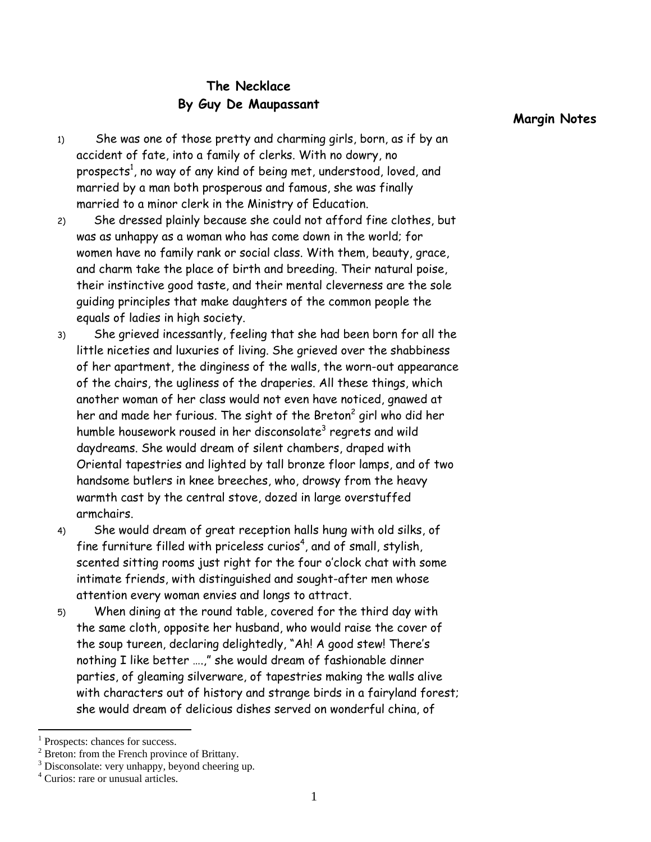## **The Necklace By Guy De Maupassant**

- 1) She was one of those pretty and charming girls, born, as if by an accident of fate, into a family of clerks. With no dowry, no prospects<sup>1</sup>, no way of any kind of being met, understood, loved, and married by a man both prosperous and famous, she was finally married to a minor clerk in the Ministry of Education.
- 2) She dressed plainly because she could not afford fine clothes, but was as unhappy as a woman who has come down in the world; for women have no family rank or social class. With them, beauty, grace, and charm take the place of birth and breeding. Their natural poise, their instinctive good taste, and their mental cleverness are the sole guiding principles that make daughters of the common people the equals of ladies in high society.
- 3) She grieved incessantly, feeling that she had been born for all the little niceties and luxuries of living. She grieved over the shabbiness of her apartment, the dinginess of the walls, the worn-out appearance of the chairs, the ugliness of the draperies. All these things, which another woman of her class would not even have noticed, gnawed at her and made her furious. The sight of the Breton $^2$  girl who did her humble housework roused in her disconsolate $^3$  regrets and wild daydreams. She would dream of silent chambers, draped with Oriental tapestries and lighted by tall bronze floor lamps, and of two handsome butlers in knee breeches, who, drowsy from the heavy warmth cast by the central stove, dozed in large overstuffed armchairs.
- 4) She would dream of great reception halls hung with old silks, of fine furniture filled with priceless curios $^4$ , and of small, stylish, scented sitting rooms just right for the four o'clock chat with some intimate friends, with distinguished and sought-after men whose attention every woman envies and longs to attract.
- 5) When dining at the round table, covered for the third day with the same cloth, opposite her husband, who would raise the cover of the soup tureen, declaring delightedly, "Ah! A good stew! There's nothing I like better ….," she would dream of fashionable dinner parties, of gleaming silverware, of tapestries making the walls alive with characters out of history and strange birds in a fairyland forest; she would dream of delicious dishes served on wonderful china, of

<sup>1</sup> Prospects: chances for success.

<sup>&</sup>lt;sup>2</sup> Breton: from the French province of Brittany.

<sup>&</sup>lt;sup>3</sup> Disconsolate: very unhappy, beyond cheering up.

<sup>4</sup> Curios: rare or unusual articles.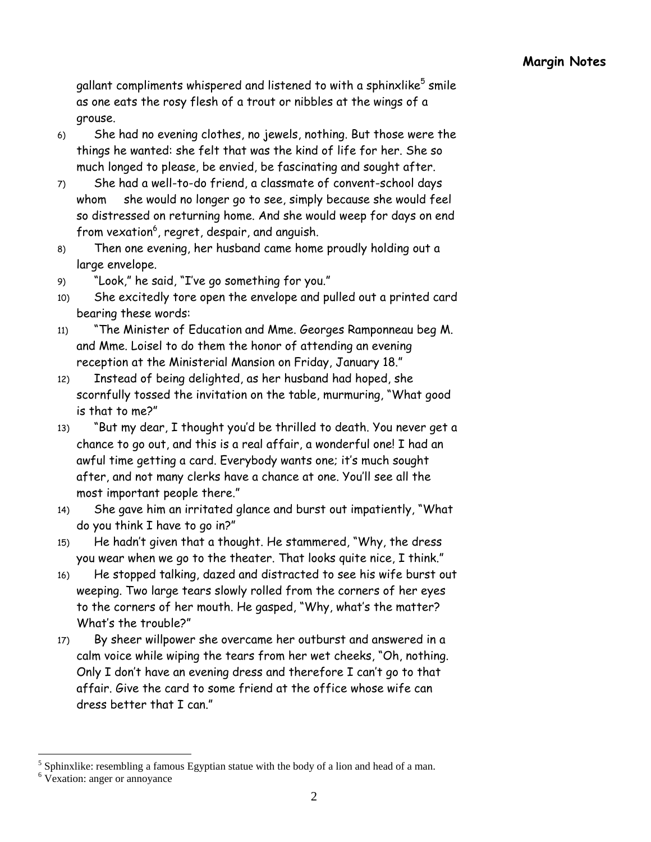gallant compliments whispered and listened to with a sphinxlike $^5$  smile  $\,$ as one eats the rosy flesh of a trout or nibbles at the wings of a grouse.

- 6) She had no evening clothes, no jewels, nothing. But those were the things he wanted: she felt that was the kind of life for her. She so much longed to please, be envied, be fascinating and sought after.
- 7) She had a well-to-do friend, a classmate of convent-school days whom she would no longer go to see, simply because she would feel so distressed on returning home. And she would weep for days on end from vexation $^6$ , regret, despair, and anguish.
- 8) Then one evening, her husband came home proudly holding out a large envelope.
- 9) "Look," he said, "I've go something for you."
- 10) She excitedly tore open the envelope and pulled out a printed card bearing these words:
- 11) "The Minister of Education and Mme. Georges Ramponneau beg M. and Mme. Loisel to do them the honor of attending an evening reception at the Ministerial Mansion on Friday, January 18."
- 12) Instead of being delighted, as her husband had hoped, she scornfully tossed the invitation on the table, murmuring, "What good is that to me?"
- 13) "But my dear, I thought you'd be thrilled to death. You never get a chance to go out, and this is a real affair, a wonderful one! I had an awful time getting a card. Everybody wants one; it's much sought after, and not many clerks have a chance at one. You'll see all the most important people there."
- 14) She gave him an irritated glance and burst out impatiently, "What do you think I have to go in?"
- 15) He hadn't given that a thought. He stammered, "Why, the dress you wear when we go to the theater. That looks quite nice, I think."
- 16) He stopped talking, dazed and distracted to see his wife burst out weeping. Two large tears slowly rolled from the corners of her eyes to the corners of her mouth. He gasped, "Why, what's the matter? What's the trouble?"
- 17) By sheer willpower she overcame her outburst and answered in a calm voice while wiping the tears from her wet cheeks, "Oh, nothing. Only I don't have an evening dress and therefore I can't go to that affair. Give the card to some friend at the office whose wife can dress better that I can."

 $<sup>5</sup>$  Sphinxlike: resembling a famous Egyptian statue with the body of a lion and head of a man.</sup>

<sup>&</sup>lt;sup>6</sup> Vexation: anger or annoyance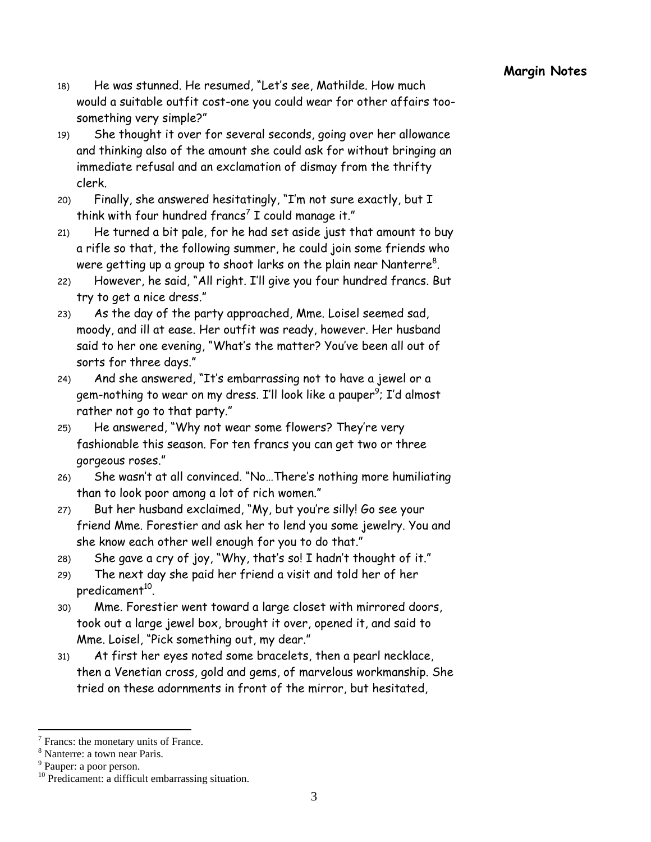- 18) He was stunned. He resumed, "Let's see, Mathilde. How much would a suitable outfit cost-one you could wear for other affairs toosomething very simple?"
- 19) She thought it over for several seconds, going over her allowance and thinking also of the amount she could ask for without bringing an immediate refusal and an exclamation of dismay from the thrifty clerk.
- 20) Finally, she answered hesitatingly, "I'm not sure exactly, but I think with four hundred francs $^7$  I could manage it."
- 21) He turned a bit pale, for he had set aside just that amount to buy a rifle so that, the following summer, he could join some friends who were getting up a group to shoot larks on the plain near Nanterre $^8$ .
- 22) However, he said, "All right. I'll give you four hundred francs. But try to get a nice dress."
- 23) As the day of the party approached, Mme. Loisel seemed sad, moody, and ill at ease. Her outfit was ready, however. Her husband said to her one evening, "What's the matter? You've been all out of sorts for three days."
- 24) And she answered, "It's embarrassing not to have a jewel or a gem-nothing to wear on my dress. I'll look like a pauper<sup>9</sup>; I'd almost rather not go to that party."
- 25) He answered, "Why not wear some flowers? They're very fashionable this season. For ten francs you can get two or three gorgeous roses."
- 26) She wasn't at all convinced. "No…There's nothing more humiliating than to look poor among a lot of rich women."
- 27) But her husband exclaimed, "My, but you're silly! Go see your friend Mme. Forestier and ask her to lend you some jewelry. You and she know each other well enough for you to do that."
- 28) She gave a cry of joy, "Why, that's so! I hadn't thought of it."
- 29) The next day she paid her friend a visit and told her of her predicament<sup>10</sup>.
- 30) Mme. Forestier went toward a large closet with mirrored doors, took out a large jewel box, brought it over, opened it, and said to Mme. Loisel, "Pick something out, my dear."
- 31) At first her eyes noted some bracelets, then a pearl necklace, then a Venetian cross, gold and gems, of marvelous workmanship. She tried on these adornments in front of the mirror, but hesitated,

 $7$  Francs: the monetary units of France.

<sup>8</sup> Nanterre: a town near Paris.

<sup>&</sup>lt;sup>9</sup> Pauper: a poor person.

<sup>&</sup>lt;sup>10</sup> Predicament: a difficult embarrassing situation.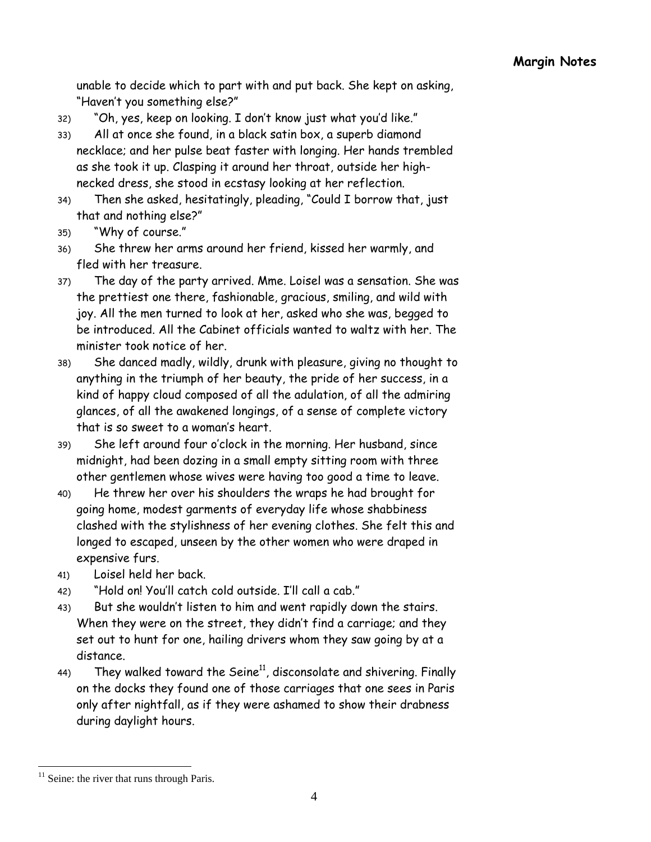unable to decide which to part with and put back. She kept on asking, "Haven't you something else?"

- 32) "Oh, yes, keep on looking. I don't know just what you'd like."
- 33) All at once she found, in a black satin box, a superb diamond necklace; and her pulse beat faster with longing. Her hands trembled as she took it up. Clasping it around her throat, outside her highnecked dress, she stood in ecstasy looking at her reflection.
- 34) Then she asked, hesitatingly, pleading, "Could I borrow that, just that and nothing else?"
- 35) "Why of course."
- 36) She threw her arms around her friend, kissed her warmly, and fled with her treasure.
- 37) The day of the party arrived. Mme. Loisel was a sensation. She was the prettiest one there, fashionable, gracious, smiling, and wild with joy. All the men turned to look at her, asked who she was, begged to be introduced. All the Cabinet officials wanted to waltz with her. The minister took notice of her.
- 38) She danced madly, wildly, drunk with pleasure, giving no thought to anything in the triumph of her beauty, the pride of her success, in a kind of happy cloud composed of all the adulation, of all the admiring glances, of all the awakened longings, of a sense of complete victory that is so sweet to a woman's heart.
- 39) She left around four o'clock in the morning. Her husband, since midnight, had been dozing in a small empty sitting room with three other gentlemen whose wives were having too good a time to leave.
- 40) He threw her over his shoulders the wraps he had brought for going home, modest garments of everyday life whose shabbiness clashed with the stylishness of her evening clothes. She felt this and longed to escaped, unseen by the other women who were draped in expensive furs.
- 41) Loisel held her back.
- 42) "Hold on! You'll catch cold outside. I'll call a cab."
- 43) But she wouldn't listen to him and went rapidly down the stairs. When they were on the street, they didn't find a carriage; and they set out to hunt for one, hailing drivers whom they saw going by at a distance.
- 44) They walked toward the Seine<sup>11</sup>, disconsolate and shivering. Finally on the docks they found one of those carriages that one sees in Paris only after nightfall, as if they were ashamed to show their drabness during daylight hours.

 $11$  Seine: the river that runs through Paris.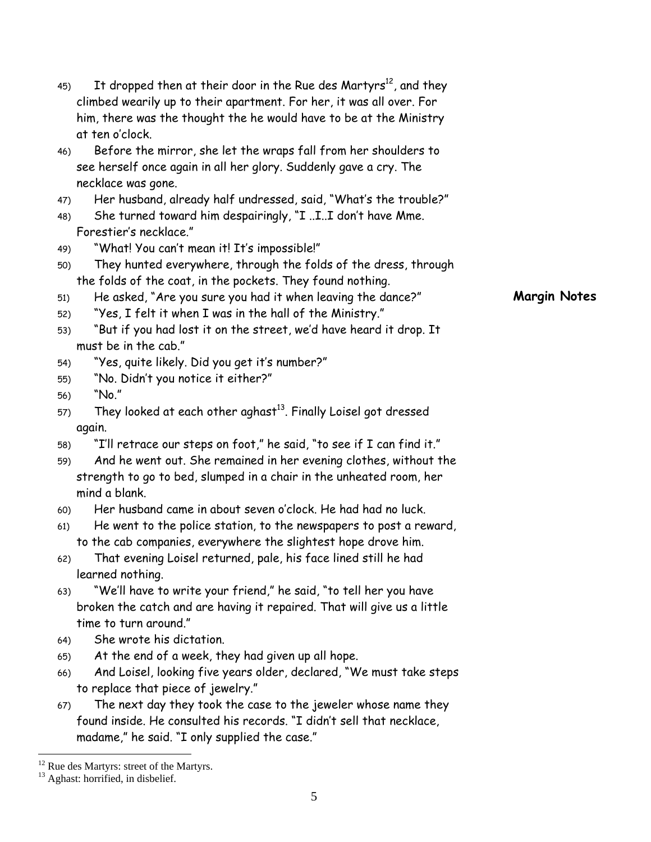|     | climbed wearily up to their apartment. For her, it was all over. For                  |                     |
|-----|---------------------------------------------------------------------------------------|---------------------|
|     | him, there was the thought the he would have to be at the Ministry<br>at ten o'clock. |                     |
|     |                                                                                       |                     |
| 46) | Before the mirror, she let the wraps fall from her shoulders to                       |                     |
|     | see herself once again in all her glory. Suddenly gave a cry. The                     |                     |
|     | necklace was gone.                                                                    |                     |
| 47) | Her husband, already half undressed, said, "What's the trouble?"                      |                     |
| 48) | She turned toward him despairingly, "I II don't have Mme.<br>Forestier's necklace."   |                     |
|     |                                                                                       |                     |
| 49) | "What! You can't mean it! It's impossible!"                                           |                     |
| 50) | They hunted everywhere, through the folds of the dress, through                       |                     |
|     | the folds of the coat, in the pockets. They found nothing.                            |                     |
| 51) | He asked, "Are you sure you had it when leaving the dance?"                           | <b>Margin Notes</b> |
| 52) | "Yes, I felt it when I was in the hall of the Ministry."                              |                     |
| 53) | "But if you had lost it on the street, we'd have heard it drop. It                    |                     |
|     | must be in the cab."                                                                  |                     |
| 54) | "Yes, quite likely. Did you get it's number?"                                         |                     |
| 55) | "No. Didn't you notice it either?"                                                    |                     |
| 56) | "No."                                                                                 |                     |
| 57) | They looked at each other aghast <sup>13</sup> . Finally Loisel got dressed           |                     |
|     | again.                                                                                |                     |
| 58) | "I'll retrace our steps on foot," he said, "to see if I can find it."                 |                     |
| 59) | And he went out. She remained in her evening clothes, without the                     |                     |
|     | strength to go to bed, slumped in a chair in the unheated room, her                   |                     |
|     | mind a blank.                                                                         |                     |
| 60) | Her husband came in about seven o'clock. He had had no luck.                          |                     |
| 61) | He went to the police station, to the newspapers to post a reward,                    |                     |
|     | to the cab companies, everywhere the slightest hope drove him.                        |                     |
| 62) | That evening Loisel returned, pale, his face lined still he had                       |                     |
|     | learned nothing.                                                                      |                     |
| 63) | "We'll have to write your friend," he said, "to tell her you have                     |                     |
|     | broken the catch and are having it repaired. That will give us a little               |                     |
|     | time to turn around."                                                                 |                     |
| 64) | She wrote his dictation.                                                              |                     |
| 65) | At the end of a week, they had given up all hope.                                     |                     |
| 66) | And Loisel, looking five years older, declared, "We must take steps                   |                     |
|     | to replace that piece of jewelry."                                                    |                     |
| 67) | The next day they took the case to the jeweler whose name they                        |                     |
|     | found inside. He consulted his records. "I didn't sell that necklace,                 |                     |
|     | madame," he said. "I only supplied the case."                                         |                     |
|     | <sup>12</sup> Rue des Martyrs: street of the Martyrs.                                 |                     |
|     | <sup>13</sup> Aghast: horrified, in disbelief.                                        |                     |
|     | 5                                                                                     |                     |
|     |                                                                                       |                     |

45) It dropped then at their door in the Rue des Martyrs<sup>12</sup>, and they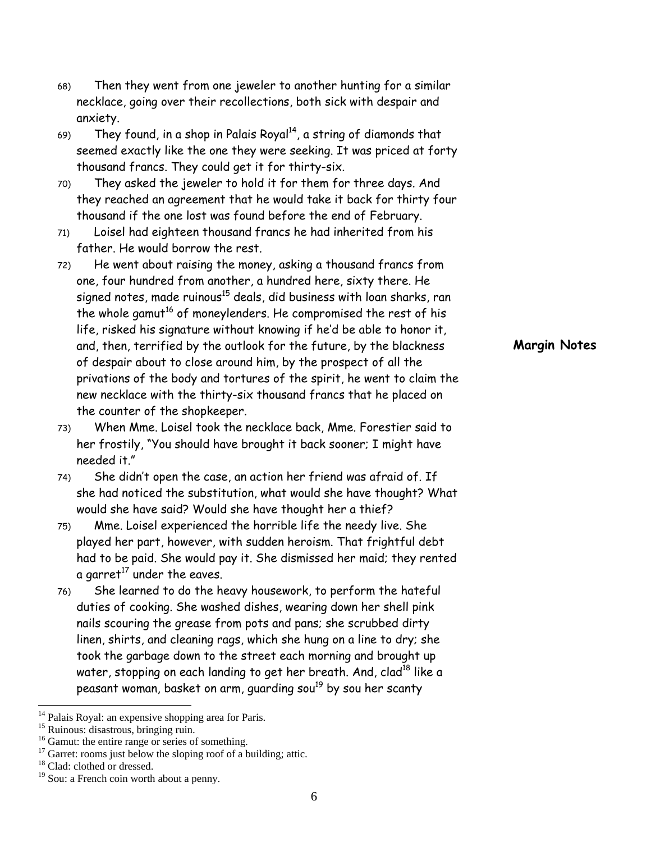- 68) Then they went from one jeweler to another hunting for a similar necklace, going over their recollections, both sick with despair and anxiety.
- 69) They found, in a shop in Palais Royal<sup>14</sup>, a string of diamonds that seemed exactly like the one they were seeking. It was priced at forty thousand francs. They could get it for thirty-six.
- 70) They asked the jeweler to hold it for them for three days. And they reached an agreement that he would take it back for thirty four thousand if the one lost was found before the end of February.
- 71) Loisel had eighteen thousand francs he had inherited from his father. He would borrow the rest.
- 72) He went about raising the money, asking a thousand francs from one, four hundred from another, a hundred here, sixty there. He signed notes, made ruinous<sup>15</sup> deals, did business with loan sharks, ran the whole gamut<sup>16</sup> of moneylenders. He compromised the rest of his life, risked his signature without knowing if he'd be able to honor it, and, then, terrified by the outlook for the future, by the blackness of despair about to close around him, by the prospect of all the privations of the body and tortures of the spirit, he went to claim the new necklace with the thirty-six thousand francs that he placed on the counter of the shopkeeper.
- 73) When Mme. Loisel took the necklace back, Mme. Forestier said to her frostily, "You should have brought it back sooner; I might have needed it."
- 74) She didn't open the case, an action her friend was afraid of. If she had noticed the substitution, what would she have thought? What would she have said? Would she have thought her a thief?
- 75) Mme. Loisel experienced the horrible life the needy live. She played her part, however, with sudden heroism. That frightful debt had to be paid. She would pay it. She dismissed her maid; they rented a garret<sup>17</sup> under the eaves.
- 76) She learned to do the heavy housework, to perform the hateful duties of cooking. She washed dishes, wearing down her shell pink nails scouring the grease from pots and pans; she scrubbed dirty linen, shirts, and cleaning rags, which she hung on a line to dry; she took the garbage down to the street each morning and brought up water, stopping on each landing to get her breath. And, clad<sup>18</sup> like a peasant woman, basket on arm, quarding sou<sup>19</sup> by sou her scanty

**Margin Notes**

Palais Royal: an expensive shopping area for Paris.

<sup>&</sup>lt;sup>15</sup> Ruinous: disastrous, bringing ruin.<br><sup>16</sup> Gamut: the entire range or series of something.

 $17$  Garret: rooms just below the sloping roof of a building; attic.

<sup>&</sup>lt;sup>18</sup> Clad: clothed or dressed.

 $19$  Sou: a French coin worth about a penny.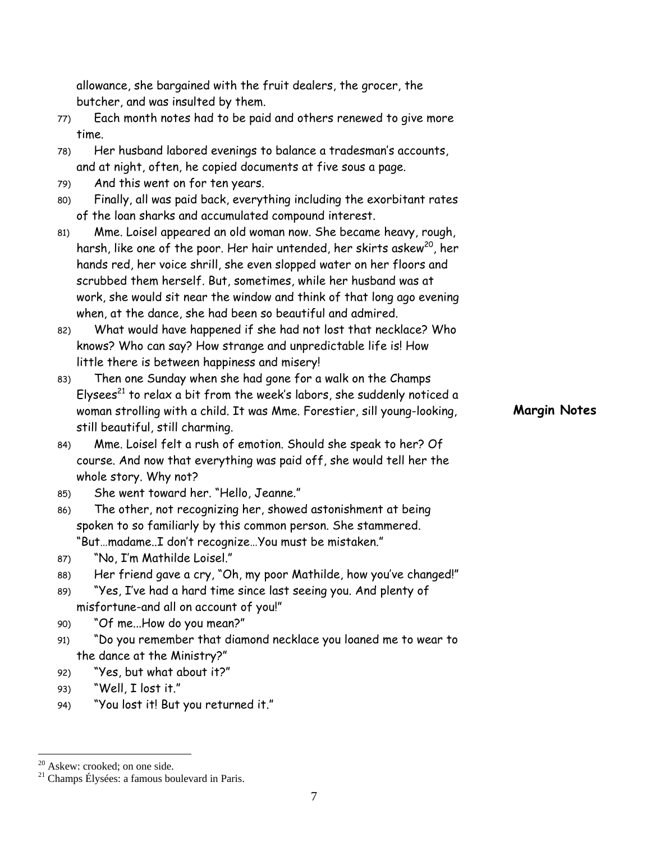allowance, she bargained with the fruit dealers, the grocer, the butcher, and was insulted by them.

- 77) Each month notes had to be paid and others renewed to give more time.
- 78) Her husband labored evenings to balance a tradesman's accounts, and at night, often, he copied documents at five sous a page.
- 79) And this went on for ten years.
- 80) Finally, all was paid back, everything including the exorbitant rates of the loan sharks and accumulated compound interest.
- 81) Mme. Loisel appeared an old woman now. She became heavy, rough, harsh, like one of the poor. Her hair untended, her skirts askew<sup>20</sup>, her hands red, her voice shrill, she even slopped water on her floors and scrubbed them herself. But, sometimes, while her husband was at work, she would sit near the window and think of that long ago evening when, at the dance, she had been so beautiful and admired.
- 82) What would have happened if she had not lost that necklace? Who knows? Who can say? How strange and unpredictable life is! How little there is between happiness and misery!
- 83) Then one Sunday when she had gone for a walk on the Champs Elysees<sup>21</sup> to relax a bit from the week's labors, she suddenly noticed a woman strolling with a child. It was Mme. Forestier, sill young-looking, still beautiful, still charming.
- 84) Mme. Loisel felt a rush of emotion. Should she speak to her? Of course. And now that everything was paid off, she would tell her the whole story. Why not?
- 85) She went toward her. "Hello, Jeanne."
- 86) The other, not recognizing her, showed astonishment at being spoken to so familiarly by this common person. She stammered. "But…madame..I don't recognize…You must be mistaken."
- 87) "No, I'm Mathilde Loisel."
- 88) Her friend gave a cry, "Oh, my poor Mathilde, how you've changed!"
- 89) "Yes, I've had a hard time since last seeing you. And plenty of misfortune-and all on account of you!"
- 90) "Of me...How do you mean?"
- 91) "Do you remember that diamond necklace you loaned me to wear to the dance at the Ministry?"
- 92) "Yes, but what about it?"
- 93) "Well, I lost it."
- 94) "You lost it! But you returned it."

 $\overline{a}$ 

**Margin Notes** 

 $20$  Askew: crooked; on one side.

<sup>21</sup> Champs Élysées: a famous boulevard in Paris.